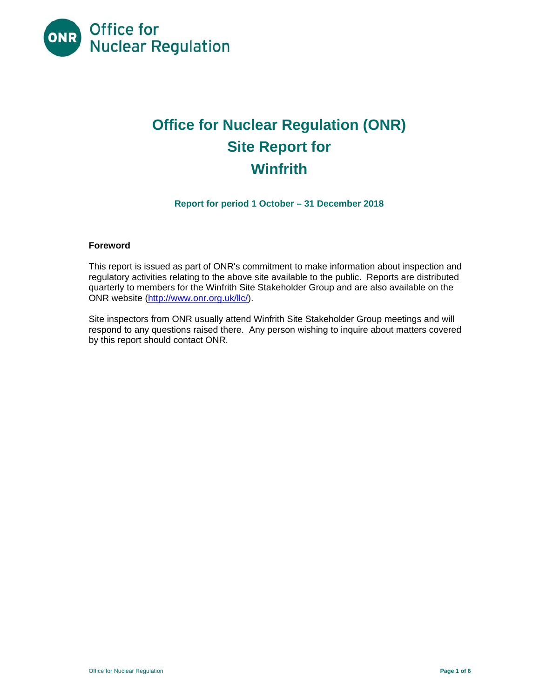

# **Office for Nuclear Regulation (ONR) Site Report for Winfrith**

**Report for period 1 October – 31 December 2018** 

# **Foreword**

This report is issued as part of ONR's commitment to make information about inspection and regulatory activities relating to the above site available to the public. Reports are distributed quarterly to members for the Winfrith Site Stakeholder Group and are also available on the ONR website (<http://www.onr.org.uk/llc>/).

Site inspectors from ONR usually attend Winfrith Site Stakeholder Group meetings and will respond to any questions raised there. Any person wishing to inquire about matters covered by this report should contact ONR.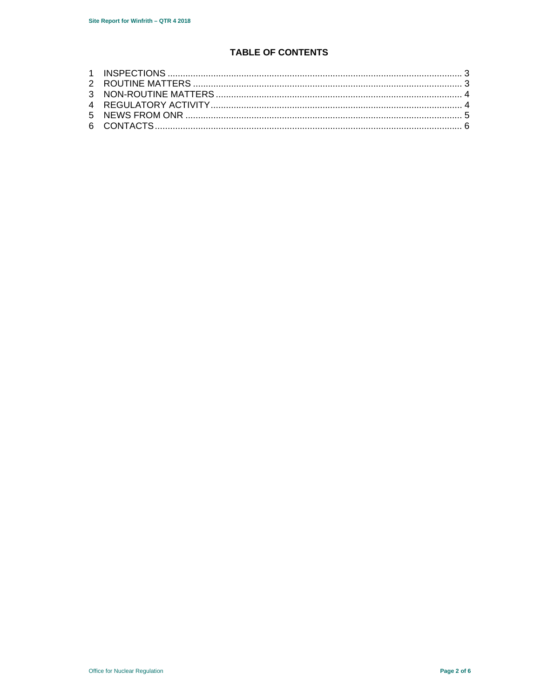# **TABLE OF CONTENTS**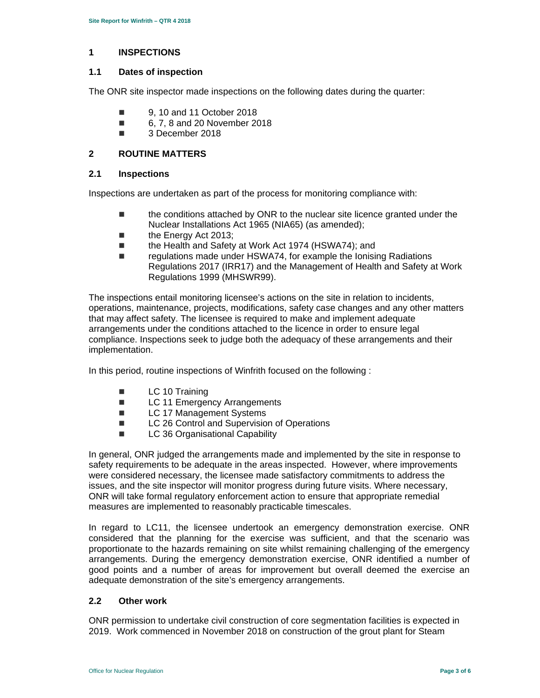#### **1 INSPECTIONS**

#### **1.1 Dates of inspection**

The ONR site inspector made inspections on the following dates during the quarter:

- 9, 10 and 11 October 2018
- 6, 7, 8 and 20 November 2018
- 3 December 2018

#### **2 ROUTINE MATTERS**

#### **2.1 Inspections**

Inspections are undertaken as part of the process for monitoring compliance with:

- the conditions attached by ONR to the nuclear site licence granted under the Nuclear Installations Act 1965 (NIA65) (as amended);
- **the Energy Act 2013;**
- the Health and Safety at Work Act 1974 (HSWA74); and
- regulations made under HSWA74, for example the Ionising Radiations Regulations 2017 (IRR17) and the Management of Health and Safety at Work Regulations 1999 (MHSWR99).

The inspections entail monitoring licensee's actions on the site in relation to incidents, operations, maintenance, projects, modifications, safety case changes and any other matters that may affect safety. The licensee is required to make and implement adequate arrangements under the conditions attached to the licence in order to ensure legal compliance. Inspections seek to judge both the adequacy of these arrangements and their implementation.

In this period, routine inspections of Winfrith focused on the following :

- **LC** 10 Training
- LC 11 Emergency Arrangements
- LC 17 Management Systems
- LC 26 Control and Supervision of Operations
- **LC 36 Organisational Capability**

In general, ONR judged the arrangements made and implemented by the site in response to safety requirements to be adequate in the areas inspected. However, where improvements were considered necessary, the licensee made satisfactory commitments to address the issues, and the site inspector will monitor progress during future visits. Where necessary, ONR will take formal regulatory enforcement action to ensure that appropriate remedial measures are implemented to reasonably practicable timescales.

In regard to LC11, the licensee undertook an emergency demonstration exercise. ONR considered that the planning for the exercise was sufficient, and that the scenario was proportionate to the hazards remaining on site whilst remaining challenging of the emergency arrangements. During the emergency demonstration exercise, ONR identified a number of good points and a number of areas for improvement but overall deemed the exercise an adequate demonstration of the site's emergency arrangements.

#### **2.2 Other work**

 2019. Work commenced in November 2018 on construction of the grout plant for Steam ONR permission to undertake civil construction of core segmentation facilities is expected in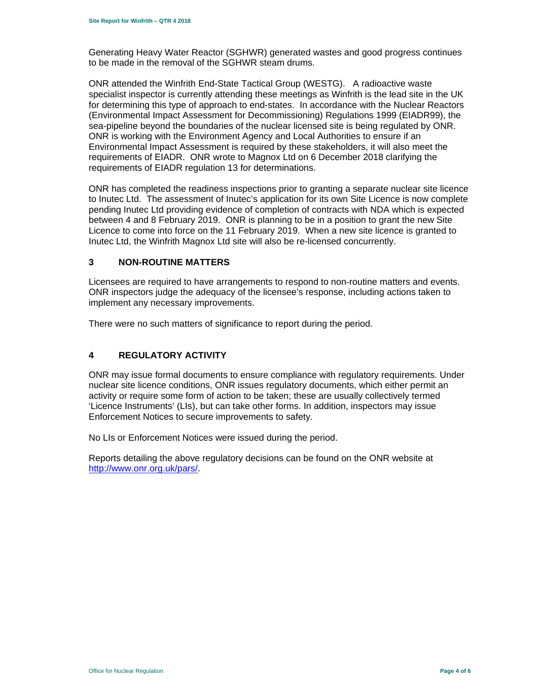Generating Heavy Water Reactor (SGHWR) generated wastes and good progress continues to be made in the removal of the SGHWR steam drums.

ONR attended the Winfrith End-State Tactical Group (WESTG). A radioactive waste specialist inspector is currently attending these meetings as Winfrith is the lead site in the UK for determining this type of approach to end-states. In accordance with the Nuclear Reactors (Environmental Impact Assessment for Decommissioning) Regulations 1999 (EIADR99), the sea-pipeline beyond the boundaries of the nuclear licensed site is being regulated by ONR. ONR is working with the Environment Agency and Local Authorities to ensure if an Environmental Impact Assessment is required by these stakeholders, it will also meet the requirements of EIADR. ONR wrote to Magnox Ltd on 6 December 2018 clarifying the requirements of EIADR regulation 13 for determinations.

ONR has completed the readiness inspections prior to granting a separate nuclear site licence to Inutec Ltd. The assessment of Inutec's application for its own Site Licence is now complete pending Inutec Ltd providing evidence of completion of contracts with NDA which is expected between 4 and 8 February 2019. ONR is planning to be in a position to grant the new Site Licence to come into force on the 11 February 2019. When a new site licence is granted to Inutec Ltd, the Winfrith Magnox Ltd site will also be re-licensed concurrently.

# **3 NON-ROUTINE MATTERS**

Licensees are required to have arrangements to respond to non-routine matters and events. ONR inspectors judge the adequacy of the licensee's response, including actions taken to implement any necessary improvements.

There were no such matters of significance to report during the period.

# **4 REGULATORY ACTIVITY**

ONR may issue formal documents to ensure compliance with regulatory requirements. Under nuclear site licence conditions, ONR issues regulatory documents, which either permit an activity or require some form of action to be taken; these are usually collectively termed 'Licence Instruments' (LIs), but can take other forms. In addition, inspectors may issue Enforcement Notices to secure improvements to safety.

No LIs or Enforcement Notices were issued during the period.

Reports detailing the above regulatory decisions can be found on the ONR website at <http://www.onr.org.uk/pars>/.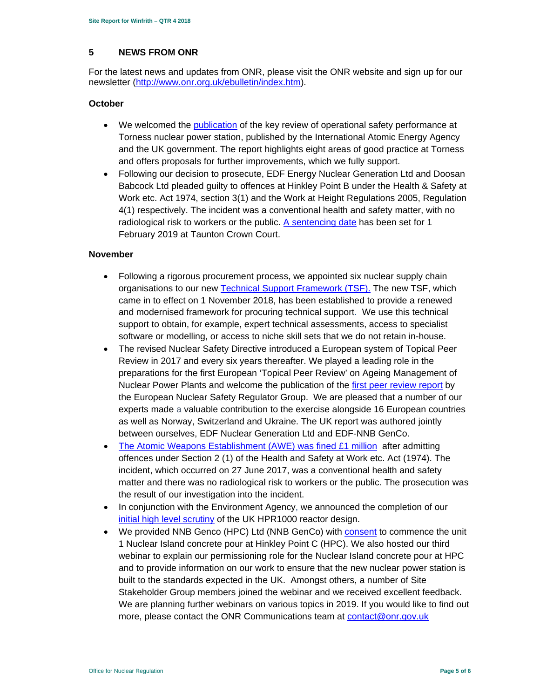#### **5 NEWS FROM ONR**

For the latest news and updates from ONR, please visit the ONR website and sign up for our newsletter [\(http://www.onr.org.uk/ebulletin/index.htm](http://www.onr.org.uk/ebulletin/index.htm)).

# **October**

- We welcomed the publication of the key review of operational safety performance at Torness nuclear power station, published by the International Atomic Energy Agency and the UK government. The report highlights eight areas of good practice at Torness and offers proposals for further improvements, which we fully support.
- Following our decision to prosecute, EDF Energy Nuclear Generation Ltd and Doosan Babcock Ltd pleaded guilty to offences at Hinkley Point B under the Health & Safety at Work etc. Act 1974, section 3(1) and the Work at Height Regulations 2005, Regulation 4(1) respectively. The incident was a conventional health and safety matter, with no radiological risk to workers or the public. A sentencing date has been set for 1 February 2019 at Taunton Crown Court.

# **November**

- Following a rigorous procurement process, we appointed six nuclear supply chain organisations to our new Technical Support Framework (TSF). The new TSF, which came in to effect on 1 November 2018, has been established to provide a renewed and modernised framework for procuring technical support. We use this technical support to obtain, for example, expert technical assessments, access to specialist software or modelling, or access to niche skill sets that we do not retain in-house.
- The revised Nuclear Safety Directive introduced a European system of Topical Peer Review in 2017 and every six years thereafter. We played a leading role in the preparations for the first European 'Topical Peer Review' on Ageing Management of Nuclear Power Plants and welcome the publication of the first peer review report by the European Nuclear Safety Regulator Group. We are pleased that a number of our experts made a valuable contribution to the exercise alongside 16 European countries as well as Norway, Switzerland and Ukraine. The UK report was authored jointly between ourselves, EDF Nuclear Generation Ltd and EDF-NNB GenCo.
- The Atomic Weapons Establishment (AWE) was fined £1 million after admitting offences under Section 2 (1) of the Health and Safety at Work etc. Act (1974). The incident, which occurred on 27 June 2017, was a conventional health and safety matter and there was no radiological risk to workers or the public. The prosecution was the result of our investigation into the incident.
- In conjunction with the Environment Agency, we announced the completion of our initial high level scrutiny of the UK HPR1000 reactor design.
- more, please contact the ONR Communications team at <u>contact@onr.gov.uk</u><br>Office for Nuclear Regulation **Page 5 of 6**  We provided NNB Genco (HPC) Ltd (NNB GenCo) with consent to commence the unit 1 Nuclear Island concrete pour at Hinkley Point C (HPC). We also hosted our third webinar to explain our permissioning role for the Nuclear Island concrete pour at HPC and to provide information on our work to ensure that the new nuclear power station is built to the standards expected in the UK. Amongst others, a number of Site Stakeholder Group members joined the webinar and we received excellent feedback. We are planning further webinars on various topics in 2019. If you would like to find out